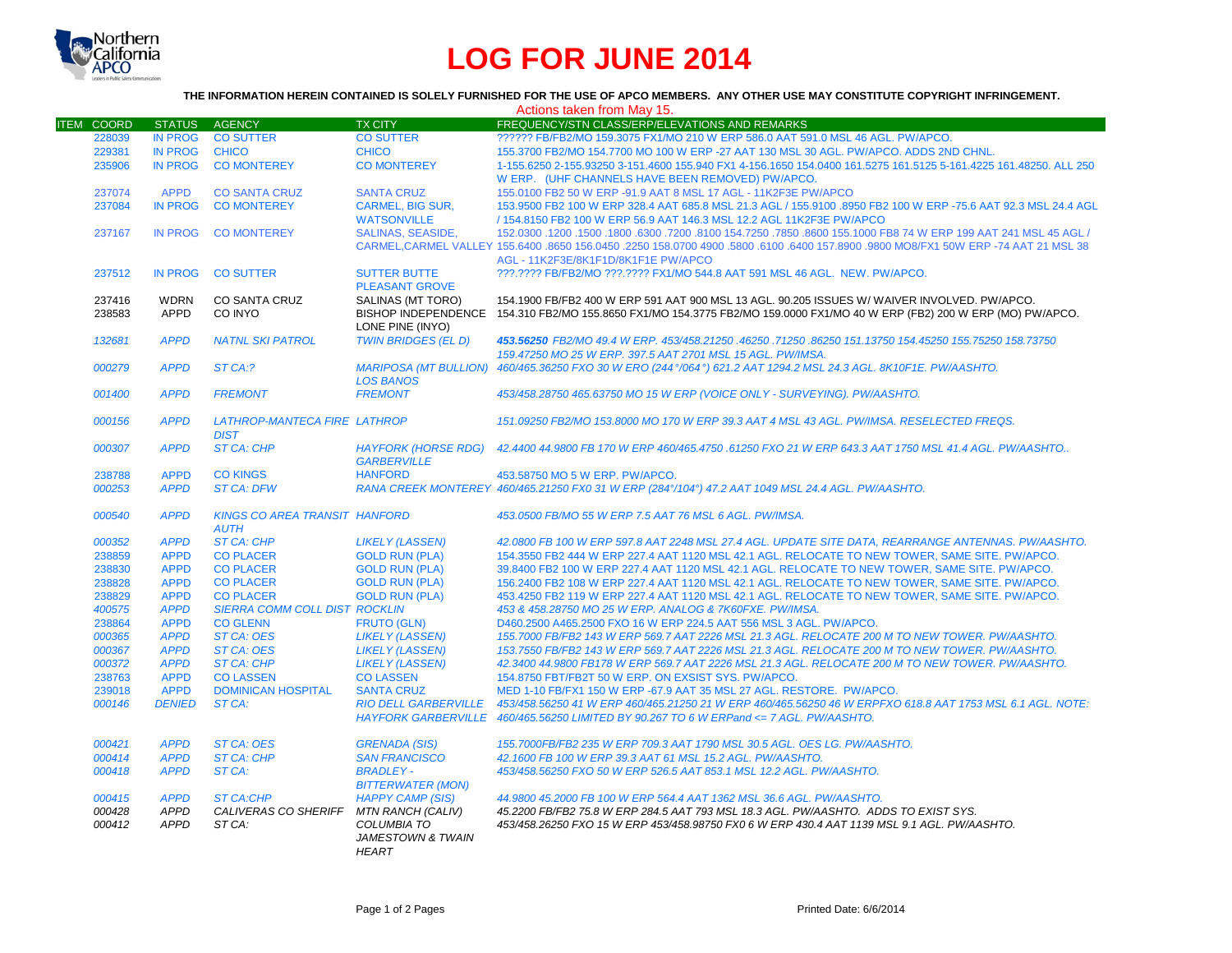

## **LOG FOR JUNE 2014**

## **THE INFORMATION HEREIN CONTAINED IS SOLELY FURNISHED FOR THE USE OF APCO MEMBERS. ANY OTHER USE MAY CONSTITUTE COPYRIGHT INFRINGEMENT.**

|                   |                |                                      |                              | Actions taken from May 15.                                                                                                          |
|-------------------|----------------|--------------------------------------|------------------------------|-------------------------------------------------------------------------------------------------------------------------------------|
| <b>ITEM COORD</b> | <b>STATUS</b>  | <b>AGENCY</b>                        | <b>TX CITY</b>               | FREQUENCY/STN CLASS/ERP/ELEVATIONS AND REMARKS                                                                                      |
| 228039            | <b>IN PROG</b> | <b>CO SUTTER</b>                     | <b>CO SUTTER</b>             | ?????? FB/FB2/MO 159.3075 FX1/MO 210 W ERP 586.0 AAT 591.0 MSL 46 AGL. PW/APCO.                                                     |
| 229381            | <b>IN PROG</b> | <b>CHICO</b>                         | <b>CHICO</b>                 | 155.3700 FB2/MO 154.7700 MO 100 W ERP -27 AAT 130 MSL 30 AGL. PW/APCO. ADDS 2ND CHNL.                                               |
| 235906            | <b>IN PROG</b> | <b>CO MONTEREY</b>                   | <b>CO MONTEREY</b>           | 1-155.6250 2-155.93250 3-151.4600 155.940 FX1 4-156.1650 154.0400 161.5275 161.5125 5-161.4225 161.48250. ALL 250                   |
|                   |                |                                      |                              | W ERP. (UHF CHANNELS HAVE BEEN REMOVED) PW/APCO.                                                                                    |
| 237074            | <b>APPD</b>    | <b>CO SANTA CRUZ</b>                 | <b>SANTA CRUZ</b>            | 155,0100 FB2 50 W ERP -91.9 AAT 8 MSL 17 AGL - 11K2F3E PW/APCO                                                                      |
| 237084            | <b>IN PROG</b> | <b>CO MONTEREY</b>                   | <b>CARMEL, BIG SUR,</b>      | 153.9500 FB2 100 W ERP 328.4 AAT 685.8 MSL 21.3 AGL / 155.9100 .8950 FB2 100 W ERP -75.6 AAT 92.3 MSL 24.4 AGL                      |
|                   |                |                                      | <b>WATSONVILLE</b>           | / 154.8150 FB2 100 W ERP 56.9 AAT 146.3 MSL 12.2 AGL 11K2F3E PW/APCO                                                                |
| 237167            | <b>IN PROG</b> | <b>CO MONTEREY</b>                   | <b>SALINAS, SEASIDE.</b>     | 150. 45 AGL (150.0300 .1200 .1500 .6300 .7200 .8100 154.7250 .7850 .8600 155.1000 FB8 74 W ERP 199 AAT 241 MSL                      |
|                   |                |                                      |                              | CARMEL.CARMEL VALLEY 155,6400 .8650 156,0450 .2250 158,0700 4900 .5800 .6100 .6400 157,8900 .9800 MO8/FX1 50W ERP -74 AAT 21 MSL 38 |
|                   |                |                                      |                              | AGL - 11K2F3E/8K1F1D/8K1F1E PW/APCO                                                                                                 |
| 237512            | <b>IN PROG</b> | <b>CO SUTTER</b>                     | <b>SUTTER BUTTE</b>          | ???.???? FB/FB2/MO ???.???? FX1/MO 544.8 AAT 591 MSL 46 AGL. NEW. PW/APCO.                                                          |
|                   |                |                                      | <b>PLEASANT GROVE</b>        |                                                                                                                                     |
| 237416            | <b>WDRN</b>    | CO SANTA CRUZ                        | SALINAS (MT TORO)            | 154.1900 FB/FB2 400 W ERP 591 AAT 900 MSL 13 AGL. 90.205 ISSUES W/ WAIVER INVOLVED. PW/APCO.                                        |
| 238583            | <b>APPD</b>    | CO INYO                              |                              | BISHOP INDEPENDENCE 154.310 FB2/MO 155.8650 FX1/MO 154.3775 FB2/MO 159.0000 FX1/MO 40 W ERP (FB2) 200 W ERP (MO) PW/APCO.           |
|                   |                |                                      | LONE PINE (INYO)             |                                                                                                                                     |
| 132681            | <b>APPD</b>    | <b>NATNL SKI PATROL</b>              | <b>TWIN BRIDGES (EL D)</b>   | 453,56250 FB2/MO 49.4 W ERP. 453/458.21250 .46250 .71250 .86250 151.13750 154.45250 155.75250 158.73750                             |
|                   |                |                                      |                              | 159.47250 MO 25 W ERP. 397.5 AAT 2701 MSL 15 AGL. PW/IMSA.                                                                          |
| 000279            | <b>APPD</b>    | ST CA:?                              | <b>MARIPOSA (MT BULLION)</b> | 460/465.36250 FXO 30 W ERO (244°/064°) 621.2 AAT 1294.2 MSL 24.3 AGL. 8K10F1E. PW/AASHTO.                                           |
|                   |                |                                      | <b>LOS BANOS</b>             |                                                                                                                                     |
| 001400            | <b>APPD</b>    | <b>FREMONT</b>                       | <b>FREMONT</b>               | 453/458.28750 465.63750 MO 15 W ERP (VOICE ONLY - SURVEYING). PW/AASHTO.                                                            |
|                   |                |                                      |                              |                                                                                                                                     |
| 000156            | <b>APPD</b>    | LATHROP-MANTECA FIRE LATHROP         |                              | 151.09250 FB2/MO 153.8000 MO 170 W ERP 39.3 AAT 4 MSL 43 AGL, PW/IMSA, RESELECTED FREQS.                                            |
|                   |                | <b>DIST</b>                          |                              |                                                                                                                                     |
| 000307            | <b>APPD</b>    | <b>ST CA: CHP</b>                    | <b>HAYFORK (HORSE RDG)</b>   | 42.4400 44.9800 FB 170 W ERP 460/465.4750 .61250 FXO 21 W ERP 643.3 AAT 1750 MSL 41.4 AGL. PW/AASHTO                                |
|                   |                |                                      | <b>GARBERVILLE</b>           |                                                                                                                                     |
| 238788            | <b>APPD</b>    | <b>CO KINGS</b>                      | <b>HANFORD</b>               | 453.58750 MO 5 W ERP. PW/APCO.                                                                                                      |
| 000253            | <b>APPD</b>    | <b>ST CA: DFW</b>                    |                              | RANA CREEK MONTEREY 460/465.21250 FX0 31 W ERP (284°/104°) 47.2 AAT 1049 MSL 24.4 AGL. PW/AASHTO.                                   |
|                   |                |                                      |                              |                                                                                                                                     |
| 000540            | <b>APPD</b>    | <b>KINGS CO AREA TRANSIT HANFORD</b> |                              | 453.0500 FB/MO 55 W ERP 7.5 AAT 76 MSL 6 AGL. PW/IMSA.                                                                              |
|                   |                | <b>AUTH</b>                          |                              |                                                                                                                                     |
| 000352            | <b>APPD</b>    | <b>ST CA: CHP</b>                    | <b>LIKELY (LASSEN)</b>       | 42.0800 FB 100 W ERP 597.8 AAT 2248 MSL 27.4 AGL, UPDATE SITE DATA, REARRANGE ANTENNAS, PW/AASHTO,                                  |
| 238859            | <b>APPD</b>    | <b>CO PLACER</b>                     | <b>GOLD RUN (PLA)</b>        | 154.3550 FB2 444 W ERP 227.4 AAT 1120 MSL 42.1 AGL. RELOCATE TO NEW TOWER, SAME SITE. PW/APCO.                                      |
| 238830            | <b>APPD</b>    | <b>CO PLACER</b>                     | <b>GOLD RUN (PLA)</b>        | 39.8400 FB2 100 W ERP 227.4 AAT 1120 MSL 42.1 AGL. RELOCATE TO NEW TOWER, SAME SITE, PW/APCO,                                       |
| 238828            | <b>APPD</b>    | <b>CO PLACER</b>                     | <b>GOLD RUN (PLA)</b>        | 156.2400 FB2 108 W ERP 227.4 AAT 1120 MSL 42.1 AGL. RELOCATE TO NEW TOWER, SAME SITE. PW/APCO.                                      |
| 238829            | <b>APPD</b>    | <b>CO PLACER</b>                     | <b>GOLD RUN (PLA)</b>        | 453.4250 FB2 119 W ERP 227.4 AAT 1120 MSL 42.1 AGL. RELOCATE TO NEW TOWER, SAME SITE. PW/APCO.                                      |
| 400575            | <b>APPD</b>    | SIERRA COMM COLL DIST ROCKLIN        |                              | 453 & 458.28750 MO 25 W ERP. ANALOG & 7K60FXE. PW/IMSA.                                                                             |
| 238864            | <b>APPD</b>    | <b>CO GLENN</b>                      | <b>FRUTO (GLN)</b>           | D460,2500 A465,2500 FXO 16 W ERP 224.5 AAT 556 MSL 3 AGL, PW/APCO.                                                                  |
| 000365            | <b>APPD</b>    | <b>ST CA: OES</b>                    | <b>LIKELY (LASSEN)</b>       | 155.7000 FB/FB2 143 W ERP 569.7 AAT 2226 MSL 21.3 AGL. RELOCATE 200 M TO NEW TOWER. PW/AASHTO.                                      |
| 000367            | <b>APPD</b>    | <b>ST CA: OES</b>                    | <b>LIKELY (LASSEN)</b>       | 153.7550 FB/FB2 143 W ERP 569.7 AAT 2226 MSL 21.3 AGL. RELOCATE 200 M TO NEW TOWER. PW/AASHTO.                                      |
| 000372            | <b>APPD</b>    | <b>ST CA: CHP</b>                    | <b>LIKELY (LASSEN)</b>       | 42.3400 44.9800 FB178 W ERP 569.7 AAT 2226 MSL 21.3 AGL. RELOCATE 200 M TO NEW TOWER. PW/AASHTO.                                    |
| 238763            | <b>APPD</b>    | <b>CO LASSEN</b>                     | <b>CO LASSEN</b>             | 154.8750 FBT/FB2T 50 W ERP. ON EXSIST SYS. PW/APCO.                                                                                 |
| 239018            | <b>APPD</b>    | <b>DOMINICAN HOSPITAL</b>            | <b>SANTA CRUZ</b>            | MED 1-10 FB/FX1 150 W ERP -67.9 AAT 35 MSL 27 AGL, RESTORE, PW/APCO.                                                                |
| 000146            | <b>DENIED</b>  | ST CA:                               | <b>RIO DELL GARBERVILLE</b>  | 453/458.56250 41 W ERP 460/465.21250 21 W ERP 460/465.56250 46 W ERPFXO 618.8 AAT 1753 MSL 6.1 AGL. NOTE:                           |
|                   |                |                                      |                              | HAYFORK GARBERVILLE 460/465.56250 LIMITED BY 90.267 TO 6 W ERPand <= 7 AGL. PW/AASHTO.                                              |
|                   |                |                                      |                              |                                                                                                                                     |
| 000421            | <b>APPD</b>    | <b>ST CA: OES</b>                    | <b>GRENADA (SIS)</b>         | 155.7000FB/FB2 235 W ERP 709.3 AAT 1790 MSL 30.5 AGL. OES LG. PW/AASHTO.                                                            |
| 000414            | <b>APPD</b>    | <b>ST CA: CHP</b>                    | <b>SAN FRANCISCO</b>         | 42.1600 FB 100 W ERP 39.3 AAT 61 MSL 15.2 AGL. PW/AASHTO.                                                                           |
| 000418            | <b>APPD</b>    | ST CA:                               | <b>BRADLEY-</b>              | 453/458.56250 FXO 50 W ERP 526.5 AAT 853.1 MSL 12.2 AGL, PW/AASHTO.                                                                 |
|                   |                |                                      | <b>BITTERWATER (MON)</b>     |                                                                                                                                     |
| 000415            | <b>APPD</b>    | <b>ST CA:CHP</b>                     | <b>HAPPY CAMP (SIS)</b>      | 44.9800 45.2000 FB 100 W ERP 564.4 AAT 1362 MSL 36.6 AGL. PW/AASHTO.                                                                |
| 000428            | <b>APPD</b>    | CALIVERAS CO SHERIFF                 | <b>MTN RANCH (CALIV)</b>     | 45.2200 FB/FB2 75.8 W ERP 284.5 AAT 793 MSL 18.3 AGL. PW/AASHTO. ADDS TO EXIST SYS.                                                 |
| 000412            | <b>APPD</b>    | ST CA:                               | <b>COLUMBIA TO</b>           | 453/458.26250 FXO 15 W ERP 453/458.98750 FX0 6 W ERP 430.4 AAT 1139 MSL 9.1 AGL. PW/AASHTO.                                         |
|                   |                |                                      | <b>JAMESTOWN &amp; TWAIN</b> |                                                                                                                                     |
|                   |                |                                      | <b>HEART</b>                 |                                                                                                                                     |